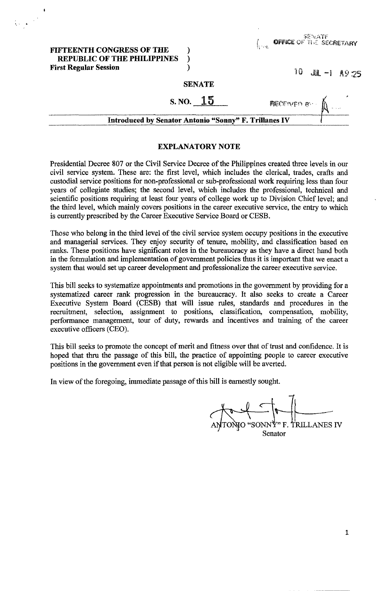#### FIFTEENTH CONGRESS OF THE REPUBLIC OF THE PHILIPPINES ) First Regular Session (1999)

 $\sum_{i=1}^n \frac{1}{\left|\mathbf{y}_i - \mathbf{y}_i\right|^2} \, \mathrm{d}\mathbf{y}_i \, \mathrm{d}\mathbf{y}_i \, \mathrm{d}\mathbf{y}_i \, \mathrm{d}\mathbf{y}_i \, \mathrm{d}\mathbf{y}_i \, \mathrm{d}\mathbf{y}_i \, \mathrm{d}\mathbf{y}_i \, \mathrm{d}\mathbf{y}_i \, \mathrm{d}\mathbf{y}_i \, \mathrm{d}\mathbf{y}_i \, \mathrm{d}\mathbf{y}_i \, \mathrm{d}\mathbf{y}_i \, \mathrm{d}\mathbf{y}_i \, \mathrm{d}\mathbf{y}_i \,$ 

| SEN ATE                        |  |
|--------------------------------|--|
| <b>OFFICE OF THE SECRETARY</b> |  |

 $10$  JUL -1  $A9.25$ 

#### **SENATE**

# $S. NO. 15$

| <b>Introduced by Senator Antonio "Sonny" F. Trillanes IV</b> |
|--------------------------------------------------------------|
|--------------------------------------------------------------|

#### EXPLANATORY NOTE

Presidential Decree 807 or the Civil Service Decree of the Philippines created three levels in our civil service system. These are: the first level, which includes the clerical, trades, crafts and custodial service positions for non-professional or sub-professional work requiring less than four years of collegiate studies; the second level, which includes the professional, technical and scientific positions requiring at least four years of college work up to Division Chief level; and the third level, which mainly covers positions in the career executive service, the entry to which is currently prescribed by the Career Executive Service Board or CESB.

Those who belong in the third level of the civil service system occupy positions in the executive and managerial services. They enjoy security of tenure, mobility, and classification based on ranks. These positions have significant roles in the bureaucracy as they have a direct hand both in the formulation and implementation of government policies thus it is important that we enact a system that would set up career development and professionalize the career executive service.

This bill seeks to systematize appointments and promotions in the government by providing for a systematized career rank progression in the bureaucracy. It also seeks to create a Career Executive System Board (CESB) that will issue rules, standards and procedures in the recruitment, selection, assignment to positions, classification, compensation, mobility, perfonnance management, tour of duty, rewards and incentives and training of the career executive officers (CEO).

This bill seeks to promote the concept of merit and fitness over that of trust and confidence. It is hoped that thru the passage of this bill, the practice of appointing people to career executive positions in the government even if that person is not eligible will be averted.

In view of the foregoing, immediate passage of this bill is earnestly sought.

ONIO "SONN<sup>\*</sup>?" F. TRILLANES IV Senator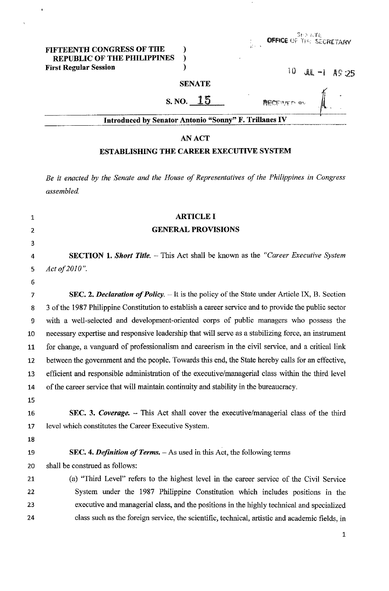## FIFTEENTH CONGRESS OF THE )<br>REPUBLIC OF THE PHILIPPINES REPUBLIC OF THE PHILIPPINES )<br>
irst Regular Session (1) First Regular Session **10** *JUL 20* JUL 20 **JUL 20** *JULE* 20 *JULE* 20 *JULE* 20 *JULE* 20 *JULE* 20 *JULE* 20 *JULE* 20 *JULE* 20 *JULE* 20 *JULE* 20 *JULE* 20 *JULE* 20 *JULE* 20 *JULE* 20 *JULE* 20 *JULE* 20 *JULE* 20

 $\ddot{\phantom{a}}$ 

 $\overline{a}$ 

**RECEIVITY ON** 

| Ū | JU. |  |  | AS 25 |
|---|-----|--|--|-------|
|---|-----|--|--|-------|

#### **SENATE**

# $S. NO. 15$

| Introduced by Senator Antonio "Sonny" F. Trillanes IV |  |  |
|-------------------------------------------------------|--|--|
|                                                       |  |  |

### AN ACT

## ESTABLISHING THE CAREER EXECUTIVE SYSTEM

*Be* it *enacted by the Senate and the House of Representatives of the Philippines in Congress assembled.* 

| $\mathbf 1$    | <b>ARTICLE I</b>                                                                                     |
|----------------|------------------------------------------------------------------------------------------------------|
| $\overline{2}$ | <b>GENERAL PROVISIONS</b>                                                                            |
| 3              |                                                                                                      |
| 4              | <b>SECTION 1. Short Title.</b> - This Act shall be known as the "Career Executive System"            |
| 5              | Act of 2010".                                                                                        |
| 6              |                                                                                                      |
| 7              | SEC. 2. Declaration of Policy. $-$ It is the policy of the State under Article IX, B. Section        |
| 8              | 3 of the 1987 Philippine Constitution to establish a career service and to provide the public sector |
| 9              | with a well-selected and development-oriented corps of public managers who possess the               |
| 10             | necessary expertise and responsive leadership that will serve as a stabilizing force, an instrument  |
| 11             | for change, a vanguard of professionalism and careerism in the civil service, and a critical link    |
| 12             | between the government and the people. Towards this end, the State hereby calls for an effective,    |
| 13             | efficient and responsible administration of the executive/managerial class within the third level    |
| 14             | of the career service that will maintain continuity and stability in the bureaucracy.                |
| 15             |                                                                                                      |
| 16             | SEC. 3. Coverage. - This Act shall cover the executive/managerial class of the third                 |
| 17             | level which constitutes the Career Executive System.                                                 |
| 18             |                                                                                                      |
| 19             | SEC. 4. Definition of Terms. $-$ As used in this Act, the following terms                            |
| 20             | shall be construed as follows:                                                                       |
| 21             | (a) "Third Level" refers to the highest level in the career service of the Civil Service             |
| 22             | System under the 1987 Philippine Constitution which includes positions in the                        |
| 23             | executive and managerial class, and the positions in the highly technical and specialized            |
| 24             | class such as the foreign service, the scientific, technical, artistic and academic fields, in       |
|                |                                                                                                      |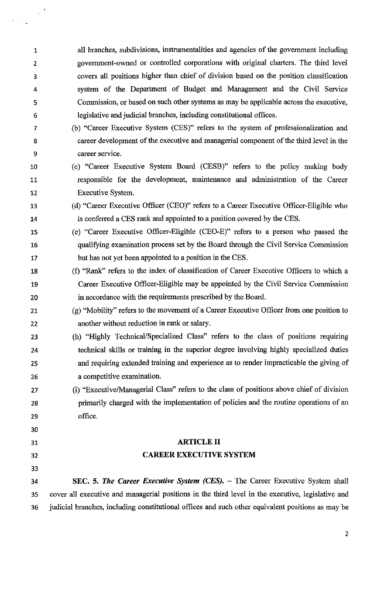1 all branches, subdivisions, instrumentalities and agencies of the government including 2 government-owned or controlled corporations with original charters. The third level 3 covers all positions higher than chief of division based on the position classification 4 system of the Department of Budget and Management and the Civil Service 5 Cornmission, or based on such other systems as may be applicable across the executive, 6 legislative and judicial branches, including constitutional offices.

- 7 (b) "Career Executive System (CES)" refers to the system of professionalization and 8 career development of the executive and managerial component of the third level in the 9 career service.
- 10 (c) "Career Executive System Board (CESB)" refers to the policy making body 11 responsible for the development, maintenance and administration of the Career 12 Executive System.
- 13 (d) "Career Executive Officer (CEO)" refers to a Career Executive Officer-Eligible who 14 is conferred a CES rank and appointed to a position covered by the CES.
- 15 (e) "Career Executive Officer-Eligible (CEO-E)" refers to a person who passed the 16 qualifying examination process set by the Board through the Civil Service Commission 17 but has not yet been appointed to a position in the CES.
- 18 (f) "Rank" refers to the index of classification of Career Executive Officers to which a 19 Career Executive Officer-Eligible may be appointed by the Civil Service Commission 20 in accordance with the requirements prescribed by the Board.
- 21 (g) "Mobility" refers to the movement of a Career Executive Officer from one position to 22 another without reduction in rank or salary.
- 23 (h) "Highly Technical/Specialized Class" refers to the class of positions requiring 24 technical skills or training in the superior degree involving highly specialized duties 25 and requiring extended training and experience as to render impracticable the giving of 26 a competitive examination.
- 27 (i) "ExecutivelManagerial Class" refers to the class of positions above chief of division 28 primarily charged with the implementation of policies and the routine operations of an 29 office.

# ARTICLE II CAREER EXECUTIVE SYSTEM

32 33

30

 $\mathbf{r}$ 

 $\mathcal{F}(\mathcal{A})$  .

31

34 SEC. 5. *The Career Executive System (CES).* - The Career Executive System shall 35 cover all executive and managerial positions in the third level in the executive, legislative and 36 judicial branches, including constitutional offices and such other equivalent positions as may be

2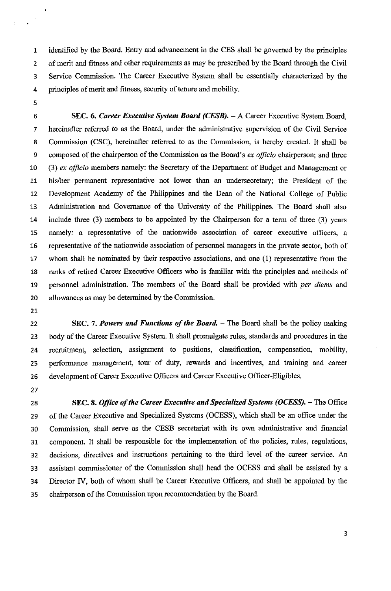1 identified by the Board. Entry and advancement in the CES shall be governed by the principles 2 of merit and fitness and other requirements as may be prescribed by the Board through the Civil 3 Service Commission. The Career Executive System shall be essentially characterized by the 4 principles of merit and fitness, security of tenure and mobility.

5

 $\ddot{\phantom{a}}$ 

 $\hat{\mathcal{A}}$ 

6 SEC. 6. *Career Executive System Board (CESB).* - A Career Executive System Board, 7 hereinafter referred to as the Board, under the administrative supervision of the Civil Service 8 Commission (CSC), hereinafter referred to as the Commission, is hereby created. It shall be 9 composed of the chairperson of the Commission as the Board's *ex officio* chairperson; and three 10 (3) *ex officio* members namely: the Secretary of the Department of Budget and Management or 11 hislher permanent representative not lower than an undersecretary; the President of the 12 Development Academy of the Philippines and the Dean of the National College of Public 13 Administration and Governance of the University of the Philippines. The Board shall also 14 include three (3) members to be appointed by the Chairperson for a term of three (3) years 15 namely: a representative of the nationwide association of career executive officers, a 16 representative of the nationwide association of personnel managers in the private sector, both of 17 whom shall be nominated by their respective associations, and one (1) representative from the 18 ranks of retired Career Executive Officers who is familiar with the principles and methods of 19 personnel administration. The members of the Board shall be provided with *per diems* and 20 allowances as may be determined by the Commission.

- 21
- 

22 SEC. 7. *Powers and Functions of the Board.* - The Board shall be the policy making 23 body of the Career Executive System. It shall promulgate rules, standards and procedures in the 24 recruitment, selection, assignment to positions, classification, compensation, mobility, 25 performance management, tour of duty, rewards and incentives, and training and career 26 development of Career Executive Officers and Career Executive Officer-Eligibles.

27

28 SEC. 8. *Office of the Career Executive and Specialized Systems (OCESS)*. - The Office 29 of the Career Executive and Specialized Systems (OCESS), which shall be an office under the 30 Commission, shall serve as the CESB secretariat with its own administrative and financial 31 component. It shall be responsible for the implementation of the policies, rules, regulations, 32 decisions, directives and instructions pertaining to the third level of the career service. An 33 assistant commissioner of the Commission shall head the OCESS and shall be assisted by a 34 Director IV, both of whom shall be Career Executive Officers, and shall be appointed by the 35 chairperson of the Commission upon recommendation by the Board.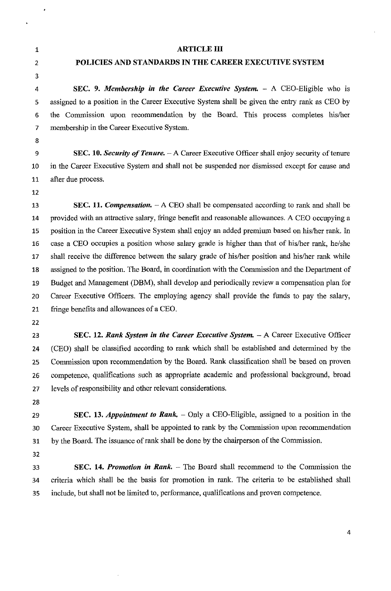1 2

 $\ddot{\phantom{1}}$ 

3

#### ARTICLE III

## POLICIES AND STANDARDS IN THE CAREER EXECUTIVE SYSTEM

4 SEC. 9. *Membership in the Career Executive System.* - A CEO-Eligible who is 5 assigned to a position in the Career Executive System shall be given the entry rank as CEO by 6 the Commission upon recommendation by the Board. This process completes his/her 7 membership in the Career Executive System.

8

9 SEC. 10. *Security of Tenure.* - A Career Executive Officer shall enjoy security of tenure 10 in the Career Executive System and shall not be suspended nor dismissed except for cause and 11 after due process.

12

13 **SEC. 11.** *Compensation.* - A CEO shall be compensated according to rank and shall be 14 provided with an attractive salary, fringe benefit and reasonable allowances. A CEO occupying a 15 position in the Career Executive System shall enjoy an added premium based on hislher rank. In 16 case a CEO occupies a position whose salary grade is higher than that of hislher rank, he/she 17 shall receive the difference between the salary grade of his/her position and his/her rank while 18 assigned to the position. The Board, in coordination with the Commission and the Department of 19 Budget and Management (DBM), shall develop and periodically review a compensation plan for 20 Career Executive Officers. The employing agency shall provide the funds to pay the salary, 21 fringe benefits and allowances of a CEO.

- 22
- 

23 SEC. 12. *Rank System in the Career Executive System.* - A Career Executive Officer 24 (CEO) shall be classified according to rank which shall be established and determined by the 25 Commission upon recommendation by the Board. Rank classification shall be based on proven 26 competence, qualifications such as appropriate academic and professional background, broad 27 levels of responsibility and other relevant considerations.

28

29 SEC. 13. *Appointment to Rank.* – Only a CEO-Eligible, assigned to a position in the 30 Career Executive System, shall be appointed to rank by the Commission upon recommendation 31 by the Board. The issuance of rank shall be done by the chairperson of the Commission.

32

33 SEC. 14. *Promotion in Rank.* - The Board shall recommend to the Commission the 34 criteria which shall be the basis for promotion in rank. The criteria to be established shall 35 include, but shall not be limited to, performance, qualifications and proven competence.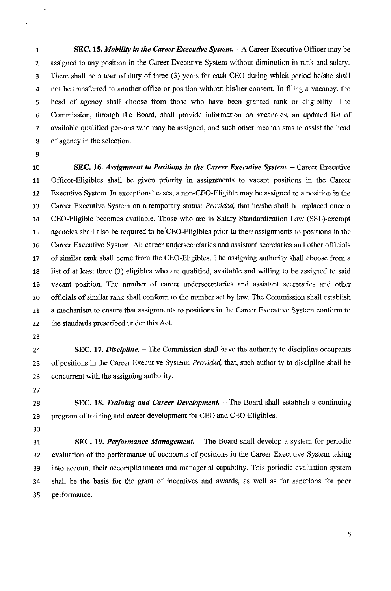1 SEC. 15. *Mobility in the Career Executive System.* - A Career Executive Officer may be 2 assigned to any position in the Career Executive System without diminution in rank and salary. 3 There shall be a tour of duty of three (3) years for each CEO during which period he/she shall 4 not be transferred to another office or position without his/her consent. In filing a vacancy, the 5 head of agency shall choose from those who have been granted rank or eligibility. The 6 Commission, through the Board, shall provide information on vacancies, an updated list of 7 available qualified persons who may be assigned, and such other mechanisms to assist the head 8 of agency in the selection.

9

 $\ddot{\phantom{1}}$ 

10 **SEC. 16.** *Assignment to Positions in the Career Executive System.* **– Career Executive** 11 Officer-Eligibles shall be given priority in assignments to vacant positions in the Career 12 Executive System. In exceptional cases, a non-CEO-Eligible may be assigned to a position in the 13 Career Executive System on a temporary status: *PrOVided,* that he/she shall be replaced once a 14 CEO-Eligible becomes available. Those who are in Salary Standardization Law (SSL)-exempt 15 agencies shall also be required to be CEO-Eligibles prior to their assignments to positions in the 16 Career Executive System. All career undersecretaries and assistant secretaries and other officials 17 of similar rank shall come from the CEO-Eligibles. The assigning authority shall choose from a 18 list of at least three (3) eligibles who are qualified, available and willing to be assigned to said 19 vacant position. The number of career undersecretaries and assistant secretaries and other 20 officials of similar rank shall conform to the number set by law. The Commission shall establish 21 a mechanism to ensure that assignments to positions in the Career Executive System conform to 22 the standards prescribed under this Act.

23

24 SEC. 17. *Discipline*. – The Commission shall have the authority to discipline occupants 25 of positions in the Career Executive System: *Provided,* that, such authority to discipline shall be 26 concurrent with the assigning authority.

27

28 **SEC. 18.** *Training and Career Development***.** – The Board shall establish a continuing 29 program of training and career development for CEO and CEO-Eligibles.

30

31 SEC. 19. *Performance Management*. – The Board shall develop a system for periodic 32 evaluation of the performance of occupants of positions in the Career Executive System taking 33 into account their accomplishments and managerial capability. This periodic evaluation system 34 shall be the basis for the grant of incentives and awards, as well as for sanctions for poor 35 performance.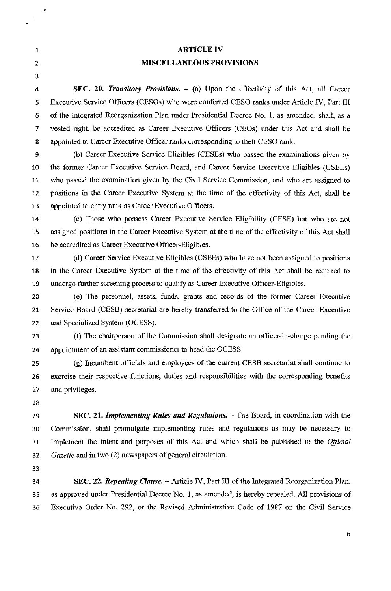1 2

 $\ddot{\bullet}$ 

 $\bullet$ 

3

## ARTICLE IV **MISCELLANEOUS PROVISIONS**

4 **SEC. 20.** *Transitory Provisions.* - (a) Upon the effectivity of this Act, all Career 5 Executive Service Officers (CESOs) who were conferred CESO ranks under Article IV, Part III 6 of the Integrated Reorganization Plan under Presidential Decree No.1, as amended, shall, as a 7 vested right, be accredited as Career Executive Officers (CEOs) under this Act and shall be 8 appointed to Career Executive Officer ranks corresponding to their CESO rank.

9 (b) Career Executive Service Eligibles (CESEs) who passed the examinations given by 10 the fonner Career Executive Service Board, and Career Service Executive Eligibles (CSEEs) 11 who passed the examination given by the Civil Service Commission, and who are assigned to 12 positions in the Career Executive System at the time of the effectivity of this Act, shall be 13 appointed to entry rank as Career Executive Officers.

14 (c) Those who possess Career Executive Service Eligibility (CESE) but who are not 15 assigned positions in the Career Executive System at the time of the effectivity of this Act shall 16 be accredited as Career Executive Officer-Eligibles.

17 (d) Career Service Executive Eligibles (CSEEs) who have not been assigned to positions 18 in the Career Executive System at the time of the effectivity of this Act shall be required to 19 undergo further screening process to qualify as Career Executive Officer-Eligibles.

20 (e) The personnel, assets, funds, grants and records of the fonner Career Executive 21 Service Board (CESB) secretariat are hereby transferred to the Office of the Career Executive 22 and Specialized System (OCESS).

23 (f) The chairperson of the Commission shall designate an officer-in-charge pending the 24 appointment of an assistant commissioner to head the OCESS.

25 (g) Incumbent officials and employees of the current CESB secretariat shall continue to 26 exercise their respective functions, duties and responsibilities with the corresponding benefits 27 and privileges.

28

29 **SEC. 21.** *Implementing Rules and Regulations.* - The Board, in coordination with the 30 Commission, shall promulgate implementing rules and regulations as may be necessary to 31 implement the intent and purposes of this Act and which shall be published in the *Official 32 Gazette* and in two (2) newspapers of general circulation.

33

34 **SEC. 22.** *Repealing Clause.* - Article IV, Part III of the Integrated Reorganization Plan, 35 as approved under Presidential Decree No.1, as amended, is hereby repealed. All provisions of 36 Executive Order No. 292, or the Revised Administrative Code of 1987 on the Civil Service